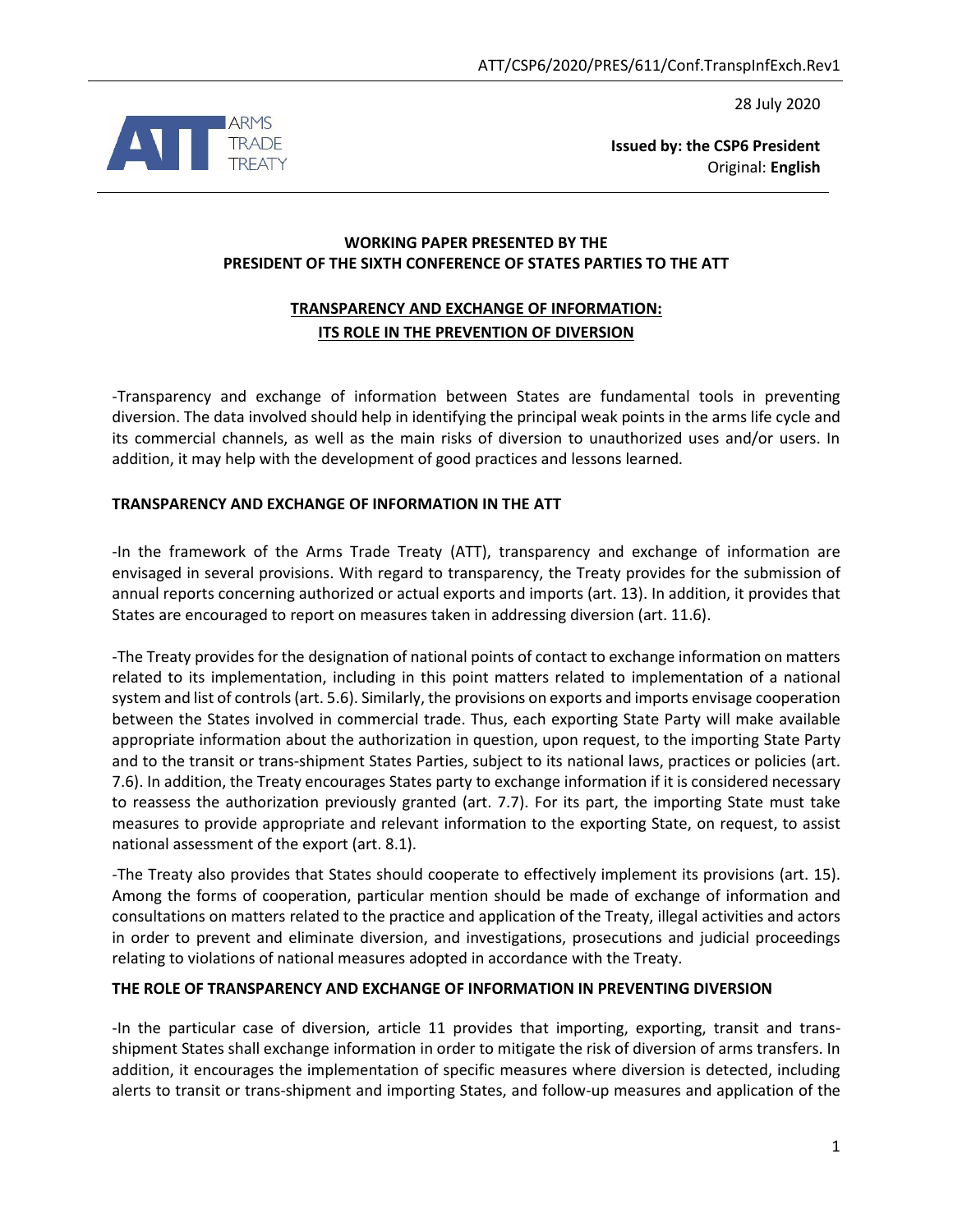28 July 2020



**Issued by: the CSP6 President** Original: **English**

## **WORKING PAPER PRESENTED BY THE PRESIDENT OF THE SIXTH CONFERENCE OF STATES PARTIES TO THE ATT**

# **TRANSPARENCY AND EXCHANGE OF INFORMATION: ITS ROLE IN THE PREVENTION OF DIVERSION**

-Transparency and exchange of information between States are fundamental tools in preventing diversion. The data involved should help in identifying the principal weak points in the arms life cycle and its commercial channels, as well as the main risks of diversion to unauthorized uses and/or users. In addition, it may help with the development of good practices and lessons learned.

## **TRANSPARENCY AND EXCHANGE OF INFORMATION IN THE ATT**

-In the framework of the Arms Trade Treaty (ATT), transparency and exchange of information are envisaged in several provisions. With regard to transparency, the Treaty provides for the submission of annual reports concerning authorized or actual exports and imports (art. 13). In addition, it provides that States are encouraged to report on measures taken in addressing diversion (art. 11.6).

-The Treaty provides for the designation of national points of contact to exchange information on matters related to its implementation, including in this point matters related to implementation of a national system and list of controls(art. 5.6). Similarly, the provisions on exports and imports envisage cooperation between the States involved in commercial trade. Thus, each exporting State Party will make available appropriate information about the authorization in question, upon request, to the importing State Party and to the transit or trans-shipment States Parties, subject to its national laws, practices or policies (art. 7.6). In addition, the Treaty encourages States party to exchange information if it is considered necessary to reassess the authorization previously granted (art. 7.7). For its part, the importing State must take measures to provide appropriate and relevant information to the exporting State, on request, to assist national assessment of the export (art. 8.1).

-The Treaty also provides that States should cooperate to effectively implement its provisions (art. 15). Among the forms of cooperation, particular mention should be made of exchange of information and consultations on matters related to the practice and application of the Treaty, illegal activities and actors in order to prevent and eliminate diversion, and investigations, prosecutions and judicial proceedings relating to violations of national measures adopted in accordance with the Treaty.

#### **THE ROLE OF TRANSPARENCY AND EXCHANGE OF INFORMATION IN PREVENTING DIVERSION**

-In the particular case of diversion, article 11 provides that importing, exporting, transit and transshipment States shall exchange information in order to mitigate the risk of diversion of arms transfers. In addition, it encourages the implementation of specific measures where diversion is detected, including alerts to transit or trans-shipment and importing States, and follow-up measures and application of the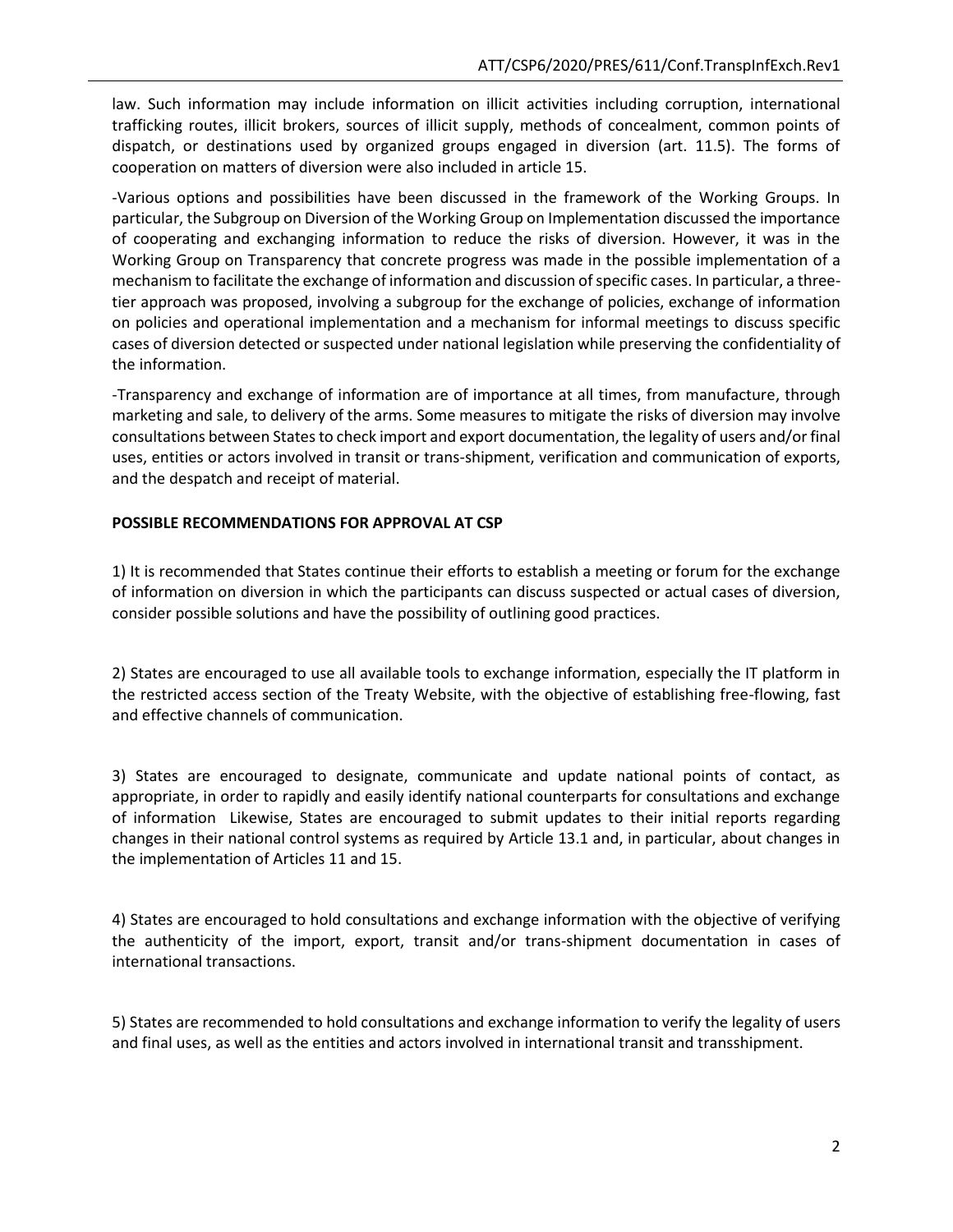law. Such information may include information on illicit activities including corruption, international trafficking routes, illicit brokers, sources of illicit supply, methods of concealment, common points of dispatch, or destinations used by organized groups engaged in diversion (art. 11.5). The forms of cooperation on matters of diversion were also included in article 15.

-Various options and possibilities have been discussed in the framework of the Working Groups. In particular, the Subgroup on Diversion of the Working Group on Implementation discussed the importance of cooperating and exchanging information to reduce the risks of diversion. However, it was in the Working Group on Transparency that concrete progress was made in the possible implementation of a mechanism to facilitate the exchange of information and discussion of specific cases. In particular, a threetier approach was proposed, involving a subgroup for the exchange of policies, exchange of information on policies and operational implementation and a mechanism for informal meetings to discuss specific cases of diversion detected or suspected under national legislation while preserving the confidentiality of the information.

-Transparency and exchange of information are of importance at all times, from manufacture, through marketing and sale, to delivery of the arms. Some measures to mitigate the risks of diversion may involve consultations between States to check import and export documentation, the legality of users and/or final uses, entities or actors involved in transit or trans-shipment, verification and communication of exports, and the despatch and receipt of material.

## **POSSIBLE RECOMMENDATIONS FOR APPROVAL AT CSP**

1) It is recommended that States continue their efforts to establish a meeting or forum for the exchange of information on diversion in which the participants can discuss suspected or actual cases of diversion, consider possible solutions and have the possibility of outlining good practices.

2) States are encouraged to use all available tools to exchange information, especially the IT platform in the restricted access section of the Treaty Website, with the objective of establishing free-flowing, fast and effective channels of communication.

3) States are encouraged to designate, communicate and update national points of contact, as appropriate, in order to rapidly and easily identify national counterparts for consultations and exchange of information Likewise, States are encouraged to submit updates to their initial reports regarding changes in their national control systems as required by Article 13.1 and, in particular, about changes in the implementation of Articles 11 and 15.

4) States are encouraged to hold consultations and exchange information with the objective of verifying the authenticity of the import, export, transit and/or trans-shipment documentation in cases of international transactions.

5) States are recommended to hold consultations and exchange information to verify the legality of users and final uses, as well as the entities and actors involved in international transit and transshipment.